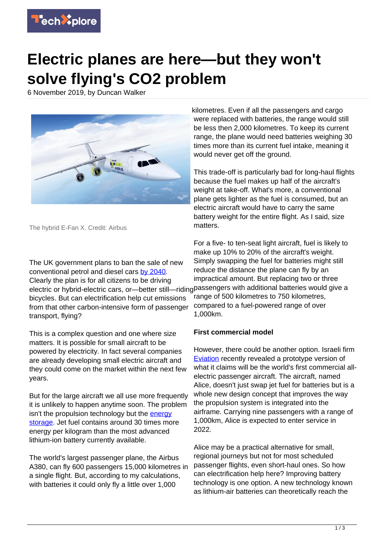

## **Electric planes are here—but they won't solve flying's CO2 problem**

6 November 2019, by Duncan Walker



The hybrid E-Fan X. Credit: Airbus

The UK government plans to ban the sale of new conventional petrol and diesel cars [by 2040.](https://www.bbc.co.uk/news/uk-40726868) Clearly the plan is for all citizens to be driving electric or hybrid-electric cars, or—better still—riding passengers with additional batteries would give a bicycles. But can electrification help cut emissions from that other carbon-intensive form of passenger transport, flying?

This is a complex question and one where size matters. It is possible for small aircraft to be powered by electricity. In fact several companies are already developing small electric aircraft and they could come on the market within the next few years.

But for the large aircraft we all use more frequently it is unlikely to happen anytime soon. The problem isn't the propulsion technology but the [energy](https://techxplore.com/tags/energy+storage/) [storage](https://techxplore.com/tags/energy+storage/). Jet fuel contains around 30 times more energy per kilogram than the most advanced lithium-ion battery currently available.

The world's largest passenger plane, the Airbus A380, can fly 600 passengers 15,000 kilometres in a single flight. But, according to my calculations, with batteries it could only fly a little over 1,000

kilometres. Even if all the passengers and cargo were replaced with batteries, the range would still be less then 2,000 kilometres. To keep its current range, the plane would need batteries weighing 30 times more than its current fuel intake, meaning it would never get off the ground.

This trade-off is particularly bad for long-haul flights because the fuel makes up half of the aircraft's weight at take-off. What's more, a conventional plane gets lighter as the fuel is consumed, but an electric aircraft would have to carry the same battery weight for the entire flight. As I said, size matters.

For a five- to ten-seat light aircraft, fuel is likely to make up 10% to 20% of the aircraft's weight. Simply swapping the fuel for batteries might still reduce the distance the plane can fly by an impractical amount. But replacing two or three range of 500 kilometres to 750 kilometres, compared to a fuel-powered range of over 1,000km.

## **First commercial model**

However, there could be another option. Israeli firm [Eviation](https://www.eviation.co/alice/) recently revealed a prototype version of what it claims will be the world's first commercial allelectric passenger aircraft. The aircraft, named Alice, doesn't just swap jet fuel for batteries but is a whole new design concept that improves the way the propulsion system is integrated into the airframe. Carrying nine passengers with a range of 1,000km, Alice is expected to enter service in 2022.

Alice may be a practical alternative for small, regional journeys but not for most scheduled passenger flights, even short-haul ones. So how can electrification help here? Improving battery technology is one option. A new technology known as lithium-air batteries can theoretically reach the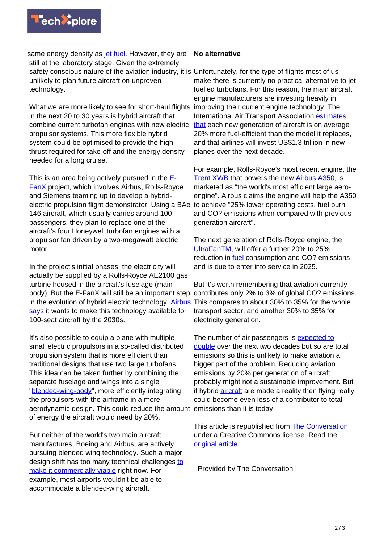

same energy density as **[jet fuel](https://techxplore.com/tags/jet+fuel/)**. However, they are **No alternative** still at the laboratory stage. Given the extremely safety conscious nature of the aviation industry, it is Unfortunately, for the type of flights most of us unlikely to plan future aircraft on unproven technology.

What we are more likely to see for short-haul flights improving their current engine technology. The in the next 20 to 30 years is hybrid aircraft that combine current turbofan engines with new electric propulsor systems. This more flexible hybrid system could be optimised to provide the high thrust required for take-off and the energy density needed for a long cruise.

This is an area being actively pursued in the  $E_1$ [FanX](https://www.airbus.com/innovation/future-technology/electric-flight/e-fan-x.html) project, which involves Airbus, Rolls-Royce and Siemens teaming up to develop a hybridelectric propulsion flight demonstrator. Using a BAe 146 aircraft, which usually carries around 100 passengers, they plan to replace one of the aircraft's four Honeywell turbofan engines with a propulsor fan driven by a two-megawatt electric motor.

In the project's initial phases, the electricity will actually be supplied by a Rolls-Royce AE2100 gas turbine housed in the aircraft's fuselage (main body). But the E-FanX will still be an important step contributes only 2% to 3% of global CO? emissions. in the evolution of hybrid electric technology. [Airbus](https://www.airbus.com/innovation/future-technology/electric-flight.html) [says](https://www.airbus.com/innovation/future-technology/electric-flight.html) it wants to make this technology available for 100-seat aircraft by the 2030s.

It's also possible to equip a plane with multiple small electric propulsors in a so-called distributed propulsion system that is more efficient than traditional designs that use two large turbofans. This idea can be taken further by combining the separate fuselage and wings into a single ["blended-wing-body](https://www.nasa.gov/centers/langley/news/factsheets/FS-2003-11-81-LaRC.html)", more efficiently integrating the propulsors with the airframe in a more aerodynamic design. This could reduce the amount emissions than it is today. of energy the aircraft would need by 20%.

But neither of the world's two main aircraft manufactures, Boeing and Airbus, are actively pursuing blended wing technology. Such a major design shift has [to](https://leehamnews.com/2018/04/03/dont-look-for-commercial-bwb-airplane-any-time-soon-says-boeings-future-airplanes-head/)o many technical challenges to [make it commercially viable](https://leehamnews.com/2018/04/03/dont-look-for-commercial-bwb-airplane-any-time-soon-says-boeings-future-airplanes-head/) right now. For example, most airports wouldn't be able to accommodate a blended-wing aircraft.

make there is currently no practical alternative to jetfuelled turbofans. For this reason, the main aircraft engine manufacturers are investing heavily in International Air Transport Association [estimates](http://www.iata.org/policy/environment) [that](http://www.iata.org/policy/environment) each new generation of aircraft is on average 20% more fuel-efficient than the model it replaces, and that airlines will invest US\$1.3 trillion in new planes over the next decade.

For example, Rolls-Royce's most recent engine, the [Trent XWB](https://www.rolls-royce.com/products-and-services/civil-aerospace/airlines/trent-xwb.aspx#section-overview) that powers the new [Airbus A350,](https://www.airbus.com/aircraft/passenger-aircraft/a350xwb-family.html) is marketed as "the world's most efficient large aeroengine". Airbus claims the engine will help the A350 to achieve "25% lower operating costs, fuel burn and CO? emissions when compared with previousgeneration aircraft".

The next generation of Rolls-Royce engine, the [UltraFanTM,](https://www.rolls-royce.com/products-and-services/civil-aerospace/future-products.aspx#/) will offer a further 20% to 25% reduction in [fuel](https://techxplore.com/tags/fuel/) consumption and CO? emissions and is due to enter into service in 2025.

But it's worth remembering that aviation currently This compares to about 30% to 35% for the whole transport sector, and another 30% to 35% for electricity generation.

The number of air passengers is [expected to](https://www.iata.org/pressroom/pr/Pages/2018-10-24-02.aspx) [double](https://www.iata.org/pressroom/pr/Pages/2018-10-24-02.aspx) over the next two decades but so are total emissions so this is unlikely to make aviation a bigger part of the problem. Reducing aviation emissions by 20% per generation of aircraft probably might not a sustainable improvement. But if hybrid [aircraft](https://techxplore.com/tags/aircraft/) are made a reality then flying really could become even less of a contributor to total

This article is republished from [The Conversation](http://theconversation.com) under a Creative Commons license. Read the [original article](https://theconversation.com/electric-planes-are-here-but-they-wont-solve-flyings-co2-problem-125900).

Provided by The Conversation